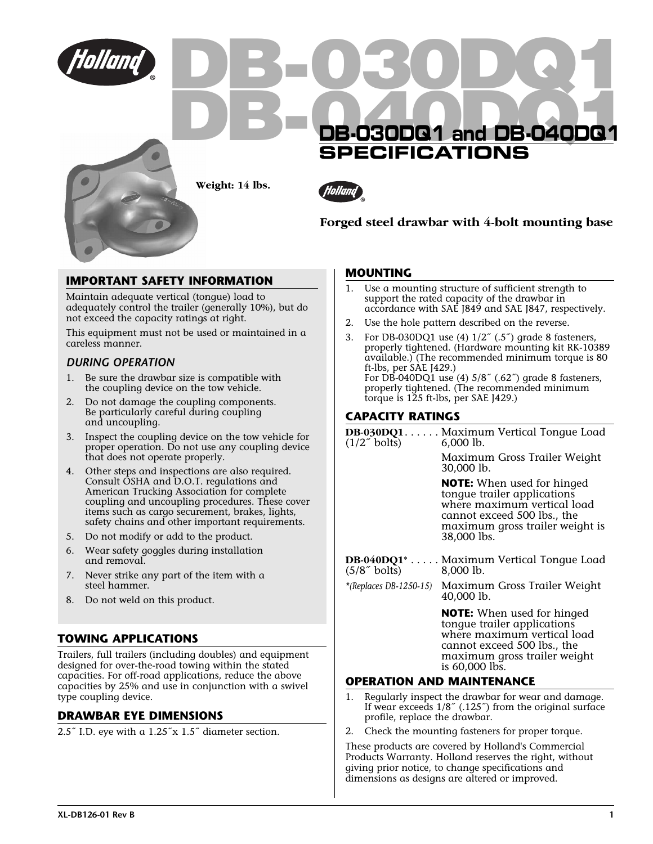

# **IMPORTANT SAFETY INFORMATION**

Maintain adequate vertical (tongue) load to adequately control the trailer (generally 10%), but do not exceed the capacity ratings at right.

This equipment must not be used or maintained in a careless manner.

### *DURING OPERATION*

- 1. Be sure the drawbar size is compatible with the coupling device on the tow vehicle.
- 2. Do not damage the coupling components. Be particularly careful during coupling and uncoupling.
- 3. Inspect the coupling device on the tow vehicle for proper operation. Do not use any coupling device that does not operate properly.
- 4. Other steps and inspections are also required. Consult OSHA and D.O.T. regulations and American Trucking Association for complete coupling and uncoupling procedures. These cover items such as cargo securement, brakes, lights, safety chains and other important requirements.
- 5. Do not modify or add to the product.
- 6. Wear safety goggles during installation and removal.
- 7. Never strike any part of the item with a steel hammer.
- 8. Do not weld on this product.

## **TOWING APPLICATIONS**

Trailers, full trailers (including doubles) and equipment designed for over-the-road towing within the stated capacities. For off-road applications, reduce the above capacities by 25% and use in conjunction with a swivel type coupling device.

### **DRAWBAR EYE DIMENSIONS**

2.5˝ I.D. eye with a 1.25˝x 1.5˝ diameter section.

#### **MOUNTING**

- 1. Use a mounting structure of sufficient strength to support the rated capacity of the drawbar in accordance with SAE J849 and SAE J847, respectively.
- 2. Use the hole pattern described on the reverse.
- 3. For DB-030DQ1 use (4) 1/2˝ (.5˝) grade 8 fasteners, properly tightened. (Hardware mounting kit RK-10389 available.) (The recommended minimum torque is 80 ft-lbs, per SAE J429.) For DB-040DQ1 use (4) 5/8˝ (.62˝) grade 8 fasteners, properly tightened. (The recommended minimum torque is 125 ft-lbs, per SAE J429.)

### **CAPACITY RATINGS**

| $(1/2^{\gamma}$ bolts)          | DB-030DQ1Maximum Vertical Tongue Load<br>$6,000$ lb.                                                                                                                             |
|---------------------------------|----------------------------------------------------------------------------------------------------------------------------------------------------------------------------------|
|                                 | Maximum Gross Trailer Weight<br>30,000 lb.                                                                                                                                       |
|                                 | <b>NOTE:</b> When used for hinged<br>tonque trailer applications<br>where maximum vertical load<br>cannot exceed 500 lbs., the<br>maximum gross trailer weight is<br>38,000 lbs. |
| $(5/8^{\circ}$ bolts) 8,000 lb. | DB-040DQ1* Maximum Vertical Tongue Load                                                                                                                                          |
|                                 | *(Replaces DB-1250-15) Maximum Gross Trailer Weight<br>40,000 lb.                                                                                                                |
|                                 | <b>NOTE:</b> When used for hinged<br>tongue trailer applications<br>where maximum vertical load<br>cannot exceed 500 lbs., the<br>maximum gross trailer weight<br>is 60,000 lbs. |

### **OPERATION AND MAINTENANCE**

- 1. Regularly inspect the drawbar for wear and damage. If wear exceeds 1/8˝ (.125˝) from the original surface profile, replace the drawbar.
- Check the mounting fasteners for proper torque.

These products are covered by Holland's Commercial Products Warranty. Holland reserves the right, without giving prior notice, to change specifications and dimensions as designs are altered or improved.